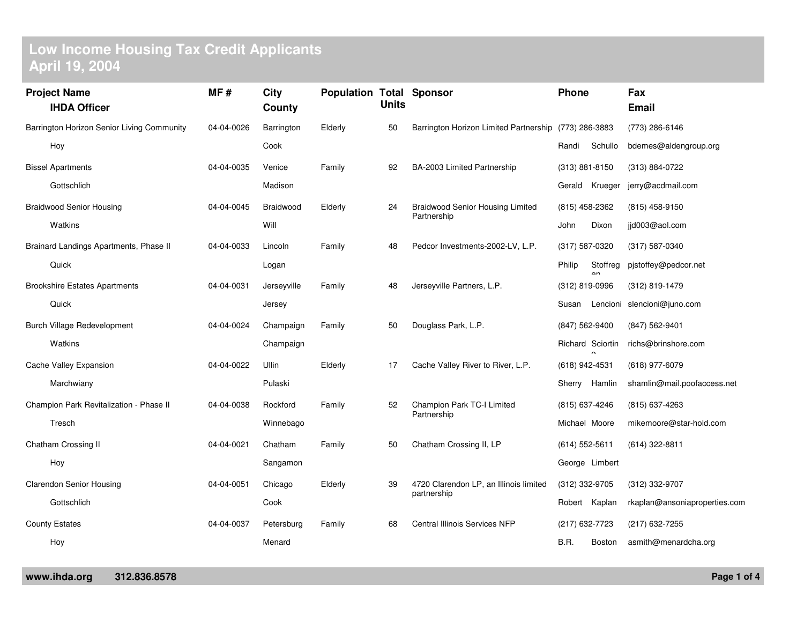## **Low Income Housing Tax Credit Applicants April 19, 2004**

| <b>Project Name</b>                        |                                         | MF#        | City        | <b>Population Total Sponsor</b> | <b>Units</b> |                                                        | Phone              |                      | Fax                           |
|--------------------------------------------|-----------------------------------------|------------|-------------|---------------------------------|--------------|--------------------------------------------------------|--------------------|----------------------|-------------------------------|
|                                            | <b>IHDA Officer</b>                     |            | County      |                                 |              |                                                        |                    |                      | <b>Email</b>                  |
| Barrington Horizon Senior Living Community |                                         | 04-04-0026 | Barrington  | Elderly                         | 50           | Barrington Horizon Limited Partnership (773) 286-3883  |                    |                      | (773) 286-6146                |
|                                            | Hoy                                     |            | Cook        |                                 |              |                                                        | Randi              | Schullo              | bdemes@aldengroup.org         |
|                                            | <b>Bissel Apartments</b>                | 04-04-0035 | Venice      | Family                          | 92           | BA-2003 Limited Partnership                            | $(313) 881 - 8150$ |                      | (313) 884-0722                |
|                                            | Gottschlich                             |            | Madison     |                                 |              |                                                        |                    | Gerald Krueger       | jerry@acdmail.com             |
|                                            | <b>Braidwood Senior Housing</b>         | 04-04-0045 | Braidwood   | Elderly                         | 24           | <b>Braidwood Senior Housing Limited</b><br>Partnership | (815) 458-2362     |                      | (815) 458-9150                |
|                                            | Watkins                                 |            | Will        |                                 |              |                                                        | John               | Dixon                | jjd003@aol.com                |
|                                            | Brainard Landings Apartments, Phase II  | 04-04-0033 | Lincoln     | Family                          | 48           | Pedcor Investments-2002-LV, L.P.                       | (317) 587-0320     |                      | (317) 587-0340                |
|                                            | Quick                                   |            | Logan       |                                 |              |                                                        | Philip             | Stoffreg<br>$\alpha$ | pjstoffey@pedcor.net          |
|                                            | <b>Brookshire Estates Apartments</b>    | 04-04-0031 | Jerseyville | Family                          | 48           | Jerseyville Partners, L.P.                             | (312) 819-0996     |                      | (312) 819-1479                |
|                                            | Quick                                   |            | Jersey      |                                 |              |                                                        | Susan              |                      | Lencioni slencioni@juno.com   |
|                                            | Burch Village Redevelopment             | 04-04-0024 | Champaign   | Family                          | 50           | Douglass Park, L.P.                                    | (847) 562-9400     |                      | (847) 562-9401                |
|                                            | Watkins                                 |            | Champaign   |                                 |              |                                                        |                    | Richard Sciortin     | richs@brinshore.com           |
|                                            | Cache Valley Expansion                  | 04-04-0022 | Ullin       | Elderly                         | 17           | Cache Valley River to River, L.P.                      | (618) 942-4531     |                      | (618) 977-6079                |
|                                            | Marchwiany                              |            | Pulaski     |                                 |              |                                                        |                    | Sherry Hamlin        | shamlin@mail.poofaccess.net   |
|                                            | Champion Park Revitalization - Phase II | 04-04-0038 | Rockford    | Family                          | 52           | Champion Park TC-I Limited<br>Partnership              | (815) 637-4246     |                      | (815) 637-4263                |
|                                            | Tresch                                  |            | Winnebago   |                                 |              |                                                        | Michael Moore      |                      | mikemoore@star-hold.com       |
|                                            | Chatham Crossing II                     | 04-04-0021 | Chatham     | Family                          | 50           | Chatham Crossing II, LP                                | $(614)$ 552-5611   |                      | (614) 322-8811                |
|                                            | Hoy                                     |            | Sangamon    |                                 |              |                                                        | George Limbert     |                      |                               |
|                                            | <b>Clarendon Senior Housing</b>         | 04-04-0051 | Chicago     | Elderly                         | 39           | 4720 Clarendon LP, an Illinois limited                 | (312) 332-9705     |                      | (312) 332-9707                |
|                                            | Gottschlich                             |            | Cook        |                                 |              | partnership                                            |                    | Robert Kaplan        | rkaplan@ansoniaproperties.com |
| <b>County Estates</b>                      |                                         | 04-04-0037 | Petersburg  | Family                          | 68           | Central Illinois Services NFP                          | (217) 632-7723     |                      | (217) 632-7255                |
|                                            | Hoy                                     |            | Menard      |                                 |              |                                                        | B.R.               | Boston               | asmith@menardcha.org          |
|                                            |                                         |            |             |                                 |              |                                                        |                    |                      |                               |

**www.ihda.org 312.836.8578 Page <sup>1</sup> of <sup>4</sup>**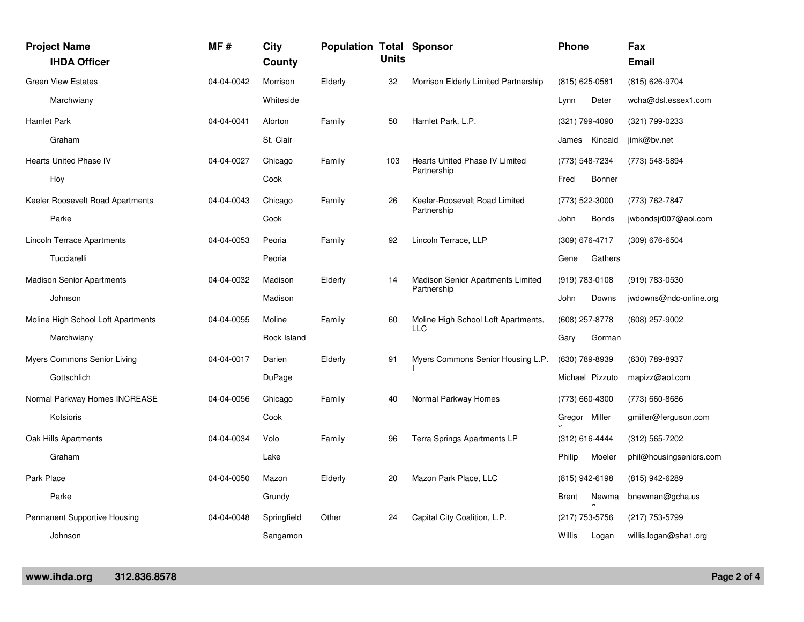|            | <b>Project Name</b><br><b>IHDA Officer</b> | MF#        | City<br>County | <b>Population Total Sponsor</b> | <b>Units</b> |                                                         | Phone            |                 | Fax<br><b>Email</b>     |
|------------|--------------------------------------------|------------|----------------|---------------------------------|--------------|---------------------------------------------------------|------------------|-----------------|-------------------------|
|            | <b>Green View Estates</b>                  | 04-04-0042 | Morrison       | Elderly                         | 32           | Morrison Elderly Limited Partnership                    | (815) 625-0581   |                 | (815) 626-9704          |
|            | Marchwiany                                 |            | Whiteside      |                                 |              |                                                         | Lynn             | Deter           | wcha@dsl.essex1.com     |
|            | <b>Hamlet Park</b>                         | 04-04-0041 | Alorton        | Family                          | 50           | Hamlet Park, L.P.                                       | (321) 799-4090   |                 | (321) 799-0233          |
|            | Graham                                     |            | St. Clair      |                                 |              |                                                         |                  | James Kincaid   | jimk@bv.net             |
|            | <b>Hearts United Phase IV</b>              | 04-04-0027 | Chicago        | Family                          | 103          | <b>Hearts United Phase IV Limited</b><br>Partnership    | (773) 548-7234   |                 | (773) 548-5894          |
|            | Hoy                                        |            | Cook           |                                 |              |                                                         | Fred             | Bonner          |                         |
|            | Keeler Roosevelt Road Apartments           | 04-04-0043 | Chicago        | Family                          | 26           | Keeler-Roosevelt Road Limited<br>Partnership            | (773) 522-3000   |                 | (773) 762-7847          |
|            | Parke                                      |            | Cook           |                                 |              |                                                         | John             | <b>Bonds</b>    | jwbondsjr007@aol.com    |
|            | Lincoln Terrace Apartments                 | 04-04-0053 | Peoria         | Family                          | 92           | Lincoln Terrace, LLP                                    | (309) 676-4717   |                 | $(309)$ 676-6504        |
|            | Tucciarelli                                |            | Peoria         |                                 |              |                                                         | Gene             | Gathers         |                         |
|            | <b>Madison Senior Apartments</b>           | 04-04-0032 | Madison        | Elderly                         | 14           | <b>Madison Senior Apartments Limited</b><br>Partnership | (919) 783-0108   |                 | (919) 783-0530          |
|            | Johnson                                    |            | Madison        |                                 |              |                                                         | John             | Downs           | jwdowns@ndc-online.org  |
|            | Moline High School Loft Apartments         | 04-04-0055 | Moline         | Family                          | 60           | Moline High School Loft Apartments,                     | (608) 257-8778   |                 | $(608)$ 257-9002        |
|            | Marchwiany                                 |            | Rock Island    |                                 |              | LLC                                                     | Gary             | Gorman          |                         |
|            | Myers Commons Senior Living                | 04-04-0017 | Darien         | Elderly                         | 91           | Myers Commons Senior Housing L.P.                       | (630) 789-8939   |                 | (630) 789-8937          |
|            | Gottschlich                                |            | DuPage         |                                 |              |                                                         |                  | Michael Pizzuto | mapizz@aol.com          |
|            | Normal Parkway Homes INCREASE              | 04-04-0056 | Chicago        | Family                          | 40           | Normal Parkway Homes                                    | (773) 660-4300   |                 | (773) 660-8686          |
|            | Kotsioris                                  |            | Cook           |                                 |              |                                                         | Gregor Miller    |                 | gmiller@ferguson.com    |
|            | Oak Hills Apartments                       | 04-04-0034 | Volo           | Family                          | 96           | Terra Springs Apartments LP                             | $(312)$ 616-4444 |                 | $(312) 565 - 7202$      |
|            | Graham                                     |            | Lake           |                                 |              |                                                         | Philip           | Moeler          | phil@housingseniors.com |
| Park Place |                                            | 04-04-0050 | Mazon          | Elderly                         | 20           | Mazon Park Place, LLC                                   | (815) 942-6198   |                 | (815) 942-6289          |
|            | Parke                                      |            | Grundy         |                                 |              |                                                         | Brent            | Newma           | bnewman@gcha.us         |
|            | Permanent Supportive Housing               | 04-04-0048 | Springfield    | Other                           | 24           | Capital City Coalition, L.P.                            | (217) 753-5756   |                 | (217) 753-5799          |
|            | Johnson                                    |            | Sangamon       |                                 |              |                                                         | Willis           | Logan           | willis.logan@sha1.org   |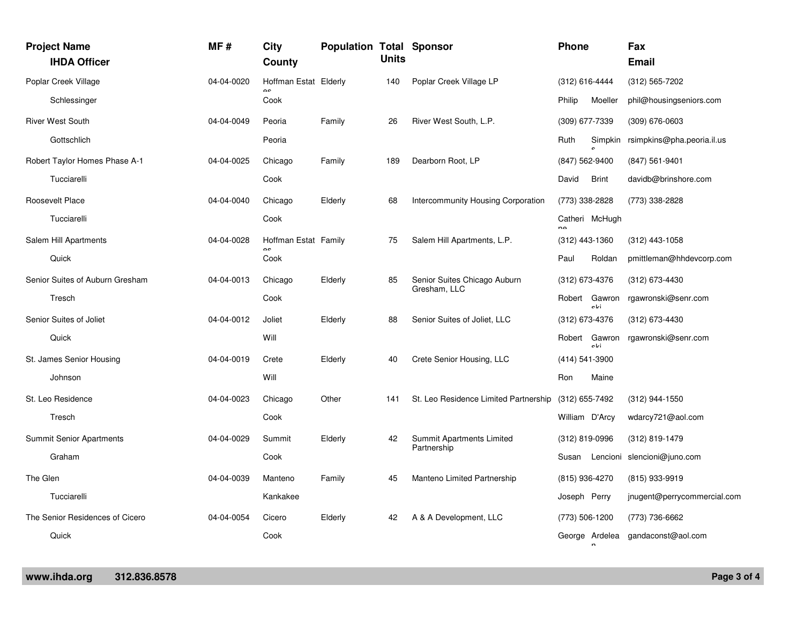| <b>Project Name</b><br><b>IHDA Officer</b> | MF#        | City<br>County             | <b>Population Total Sponsor</b> | <b>Units</b> |                                              | Phone                        |              | Fax<br><b>Email</b>                |
|--------------------------------------------|------------|----------------------------|---------------------------------|--------------|----------------------------------------------|------------------------------|--------------|------------------------------------|
| Poplar Creek Village                       | 04-04-0020 | Hoffman Estat Elderly      |                                 | 140          | Poplar Creek Village LP                      | (312) 616-4444               |              | (312) 565-7202                     |
| Schlessinger                               |            | Cook                       |                                 |              |                                              | Philip                       | Moeller      | phil@housingseniors.com            |
| <b>River West South</b>                    | 04-04-0049 | Peoria                     | Family                          | 26           | River West South, L.P.                       | (309) 677-7339               |              | $(309)$ 676-0603                   |
| Gottschlich                                |            | Peoria                     |                                 |              |                                              | Ruth                         |              | Simpkin rsimpkins@pha.peoria.il.us |
| Robert Taylor Homes Phase A-1              | 04-04-0025 | Chicago                    | Family                          | 189          | Dearborn Root, LP                            | (847) 562-9400               |              | $(847)$ 561-9401                   |
| Tucciarelli                                |            | Cook                       |                                 |              |                                              | David                        | <b>Brint</b> | davidb@brinshore.com               |
| Roosevelt Place                            | 04-04-0040 | Chicago                    | Elderly                         | 68           | <b>Intercommunity Housing Corporation</b>    | (773) 338-2828               |              | (773) 338-2828                     |
| Tucciarelli                                |            | Cook                       |                                 |              |                                              | Catheri McHugh<br>$n \Delta$ |              |                                    |
| Salem Hill Apartments                      | 04-04-0028 | Hoffman Estat Family<br>۵c |                                 | 75           | Salem Hill Apartments, L.P.                  | (312) 443-1360               |              | $(312)$ 443-1058                   |
| Quick                                      |            | Cook                       |                                 |              |                                              | Paul                         | Roldan       | pmittleman@hhdevcorp.com           |
| Senior Suites of Auburn Gresham            | 04-04-0013 | Chicago                    | Elderly                         | 85           | Senior Suites Chicago Auburn<br>Gresham, LLC | (312) 673-4376               |              | (312) 673-4430                     |
| Tresch                                     |            | Cook                       |                                 |              |                                              | Robert Gawron                | oli          | rgawronski@senr.com                |
| Senior Suites of Joliet                    | 04-04-0012 | Joliet                     | Elderly                         | 88           | Senior Suites of Joliet, LLC                 | (312) 673-4376               |              | (312) 673-4430                     |
| Quick                                      |            | Will                       |                                 |              |                                              | Robert Gawron                | eldi         | rgawronski@senr.com                |
| St. James Senior Housing                   | 04-04-0019 | Crete                      | Elderly                         | 40           | Crete Senior Housing, LLC                    | (414) 541-3900               |              |                                    |
| Johnson                                    |            | Will                       |                                 |              |                                              | Ron                          | Maine        |                                    |
| St. Leo Residence                          | 04-04-0023 | Chicago                    | Other                           | 141          | St. Leo Residence Limited Partnership        | (312) 655-7492               |              | (312) 944-1550                     |
| Tresch                                     |            | Cook                       |                                 |              |                                              | William D'Arcy               |              | wdarcy721@aol.com                  |
| <b>Summit Senior Apartments</b>            | 04-04-0029 | Summit                     | Elderly                         | 42           | Summit Apartments Limited<br>Partnership     | (312) 819-0996               |              | (312) 819-1479                     |
| Graham                                     |            | Cook                       |                                 |              |                                              |                              |              | Susan Lencioni slencioni@juno.com  |
| The Glen                                   | 04-04-0039 | Manteno                    | Family                          | 45           | Manteno Limited Partnership                  | (815) 936-4270               |              | (815) 933-9919                     |
| Tucciarelli                                |            | Kankakee                   |                                 |              |                                              | Joseph Perry                 |              | jnugent@perrycommercial.com        |
| The Senior Residences of Cicero            | 04-04-0054 | Cicero                     | Elderly                         | 42           | A & A Development, LLC                       | (773) 506-1200               |              | (773) 736-6662                     |
| Quick                                      |            | Cook                       |                                 |              |                                              |                              |              | George Ardelea gandaconst@aol.com  |